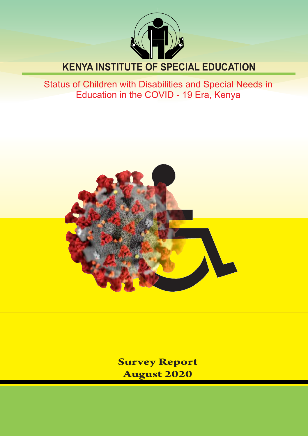

# **KENYA INSTITUTE OF SPECIAL EDUCATION**

Status of Children with Disabilities and Special Needs in Education in the COVID - 19 Era, Kenya



**Ministry Report** of Education Survey Report of Education Survey Report of Education Survey Report of Education Survey Report of Education Survey Report of The Education Survey Report of The Education Survey Report of The **August 2020**

**REPUBLIC OF KENYA**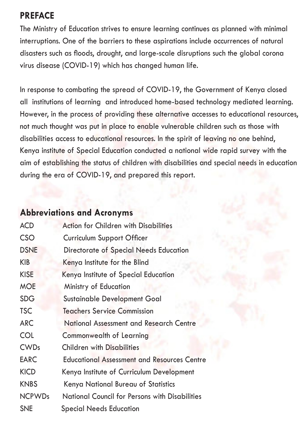## **PREFACE**

The Ministry of Education strives to ensure learning continues as planned with minimal interruptions. One of the barriers to these aspirations include occurrences of natural disasters such as floods, drought, and large-scale disruptions such the global corona virus disease (COVID-19) which has changed human life.

In response to combating the spread of COVID-19, the Government of Kenya closed all institutions of learning and introduced home-based technology mediated learning. However, in the process of providing these alternative accesses to educational resources, not much thought was put in place to enable vulnerable children such as those with disabilities access to educational resources. In the spirit of leaving no one behind, Kenya institute of Special Education conducted a national wide rapid survey with the aim of establishing the status of children with disabilities and special needs in education during the era of COVID-19, and prepared this report.

## **Abbreviations and Acronyms**

| <b>ACD</b>    | <b>Action for Children with Disabilities</b>       |
|---------------|----------------------------------------------------|
| <b>CSO</b>    | Curriculum Support Officer                         |
| <b>DSNE</b>   | Directorate of Special Needs Education             |
| KIB           | Kenya Institute for the Blind                      |
| <b>KISE</b>   | Kenya Institute of Special Education               |
| <b>MOE</b>    | Ministry of Education                              |
| <b>SDG</b>    | Sustainable Development Goal                       |
| <b>TSC</b>    | Teachers Service Commission                        |
| <b>ARC</b>    | National Assessment and Research Centre            |
| COL           | <b>Commonwealth of Learning</b>                    |
| <b>CWDs</b>   | <b>Children with Disabilities</b>                  |
| EARC          | <b>Educational Assessment and Resources Centre</b> |
| <b>KICD</b>   | Kenya Institute of Curriculum Development          |
| <b>KNBS</b>   | Kenya National Bureau of Statistics                |
| <b>NCPWDs</b> | National Council for Persons with Disabilities     |
| <b>SNE</b>    | <b>Special Needs Education</b>                     |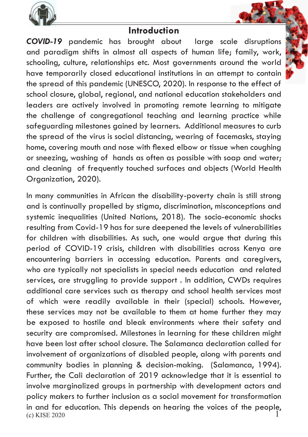

## **Introduction**

*COVID-19* pandemic has brought about large scale disruptions and paradigm shifts in almost all aspects of human life; family, work, schooling, culture, relationships etc. Most governments around the world have temporarily closed educational institutions in an attempt to contain the spread of this pandemic (UNESCO, 2020). In response to the effect of school closure, global, regional, and national education stakeholders and leaders are actively involved in promoting remote learning to mitigate the challenge of congregational teaching and learning practice while safeguarding milestones gained by learners. Additional measures to curb the spread of the virus is social distancing, wearing of facemasks, staying home, covering mouth and nose with flexed elbow or tissue when coughing or sneezing, washing of hands as often as possible with soap and water; and cleaning of frequently touched surfaces and objects (World Health Organization, 2020).

(c) KISE 2020 In many communities in African the disability-poverty chain is still strong and is continually propelled by stigma, discrimination, misconceptions and systemic inequalities (United Nations, 2018). The socio-economic shocks resulting from Covid-19 has for sure deepened the levels of vulnerabilities for children with disabilities. As such, one would argue that during this period of COVID-19 crisis, children with disabilities across Kenya are encountering barriers in accessing education. Parents and caregivers, who are typically not specialists in special needs education and related services, are struggling to provide support . In addition, CWDs requires additional care services such as therapy and school health services most of which were readily available in their (special) schools. However, these services may not be available to them at home further they may be exposed to hostile and bleak environments where their safety and security are compromised. Milestones in learning for these children might have been lost after school closure. The Salamanca declaration called for involvement of organizations of disabled people, along with parents and community bodies in planning & decision-making. (Salamanca, 1994). Further, the Cali declaration of 2019 acknowledge that it is essential to involve marginalized groups in partnership with development actors and policy makers to further inclusion as a social movement for transformation in and for education. This depends on hearing the voices of the people, 1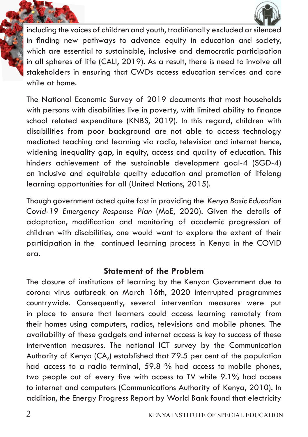



including the voices of children and youth, traditionally excluded or silenced in finding new pathways to advance equity in education and society, which are essential to sustainable, inclusive and democratic participation in all spheres of life (CALI, 2019). As a result, there is need to involve all stakeholders in ensuring that CWDs access education services and care while at home.

The National Economic Survey of 2019 documents that most households with persons with disabilities live in poverty, with limited ability to finance school related expenditure (KNBS, 2019). In this regard, children with disabilities from poor background are not able to access technology mediated teaching and learning via radio, television and internet hence, widening inequality gap, in equity, access and quality of education. This hinders achievement of the sustainable development goal-4 (SGD-4) on inclusive and equitable quality education and promotion of lifelong learning opportunities for all (United Nations, 2015).

Though government acted quite fast in providing the *Kenya Basic Education Covid-19 Emergency Response Plan* (MoE, 2020). Given the details of adaptation, modification and monitoring of academic progression of children with disabilities, one would want to explore the extent of their participation in the continued learning process in Kenya in the COVID era.

## **Statement of the Problem**

The closure of institutions of learning by the Kenyan Government due to corona virus outbreak on March 16th, 2020 interrupted programmes countrywide. Consequently, several intervention measures were put in place to ensure that learners could access learning remotely from their homes using computers, radios, televisions and mobile phones. The availability of these gadgets and internet access is key to success of these intervention measures. The national ICT survey by the Communication Authority of Kenya (CA,) established that 79.5 per cent of the population had access to a radio terminal, 59.8 % had access to mobile phones, two people out of every five with access to TV while 9.1% had access to internet and computers (Communications Authority of Kenya, 2010). In addition, the Energy Progress Report by World Bank found that electricity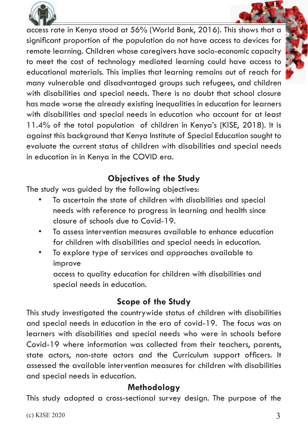

access rate in Kenya stood at 56% (World Bank, 2016). This shows that a significant proportion of the population do not have access to devices for remote learning. Children whose caregivers have socio-economic capacity to meet the cost of technology mediated learning could have access to educational materials. This implies that learning remains out of reach for many vulnerable and disadvantaged groups such refugees, and children with disabilities and special needs. There is no doubt that school closure has made worse the already existing inequalities in education for learners with disabilities and special needs in education who account for at least 11.4% of the total population of children in Kenya's (KISE, 2018). It is against this background that Kenya Institute of Special Education sought to evaluate the current status of children with disabilities and special needs in education in in Kenya in the COVID era.

## **Objectives of the Study**

The study was guided by the following objectives:

- To ascertain the state of children with disabilities and special needs with reference to progress in learning and health since closure of schools due to Covid-19.
- To assess intervention measures available to enhance education for children with disabilities and special needs in education.
- To explore type of services and approaches available to improve

 access to quality education for children with disabilities and special needs in education.

## **Scope of the Study**

This study investigated the countrywide status of children with disabilities and special needs in education in the era of covid-19. The focus was on learners with disabilities and special needs who were in schools before Covid-19 where information was collected from their teachers, parents, state actors, non-state actors and the Curriculum support officers. It assessed the available intervention measures for children with disabilities and special needs in education.

## **Methodology**

This study adopted a cross-sectional survey design. The purpose of the

 $(c)$  KISE 2020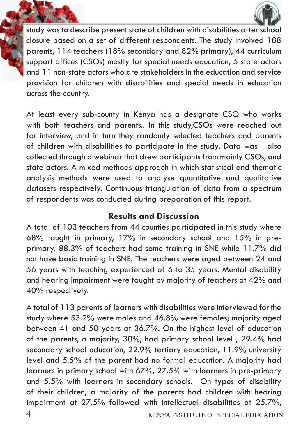



study was to describe present state of children with disabilities after school closure based on a set of different respondents. The study involved 188 parents, 114 teachers (18% secondary and 82% primary), 44 curriculum support offices (CSOs) mostly for special needs education, 5 state actors and 11 non-state actors who are stakeholders in the education and service provision for children with disabilities and special needs in education across the country.

At least every sub-county in Kenya has a designate CSO who works with both teachers and parents.. In this study,CSOs were reached out for interview, and in turn they randomly selected teachers and parents of children with disabilities to participate in the study. Data was also collected through a webinar that drew participants from mainly CSOs, and state actors. A mixed methods approach in which statistical and thematic analysis methods were used to analyse quantitative and qualitative datasets respectively. Continuous triangulation of data from a spectrum of respondents was conducted during preparation of this report.

## **Results and Discussion**

A total of 103 teachers from 44 counties participated in this study where 68% taught in primary, 17% in secondary school and 15% in preprimary. 88.3% of teachers had some training in SNE while 11.7% did not have basic training in SNE. The teachers were aged between 24 and 56 years with teaching experienced of 6 to 35 years. Mental disability and hearing impairment were taught by majority of teachers at 42% and 40% respectively.

A total of 113 parents of learners with disabilities were interviewed for the study where 53.2% were males and 46.8% were females; majority aged between 41 and 50 years at 36.7%. On the highest level of education of the parents, a majority, 30%, had primary school level , 29.4% had secondary school education, 22.9% tertiary education, 11.9% university level and 5.5% of the parent had no formal education. A majority had learners in primary school with 67%, 27.5% with learners in pre-primary and 5.5% with learners in secondary schools. On types of disability of their children, a majority of the parents had children with hearing impairment at 27.5% followed with intellectual disabilities at 25.7%,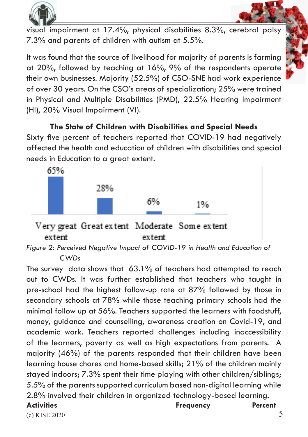



visual impairment at 17.4%, physical disabilities 8.3%, cerebral palsy 7.3% and parents of children with autism at 5.5%.

It was found that the source of livelihood for majority of parents is farming at 20%, followed by teaching at 16%, 9% of the respondents operate their own businesses. Majority (52.5%) of CSO-SNE had work experience of over 30 years. On the CSO's areas of specialization; 25% were trained in Physical and Multiple Disabilities (PMD), 22.5% Hearing Impairment (HI), 20% Visual Impairment (VI).

**The State of Children with Disabilities and Special Needs** Sixty five percent of teachers reported that COVID-19 had negatively affected the health and education of children with disabilities and special needs in Education to a great extent.



#### Very great Great extent Moderate Some extent extent extent

*Figure 2: Perceived Negative Impact of COVID-19 in Health and Education of* 

 *CWDs*

The survey data shows that 63.1% of teachers had attempted to reach out to CWDs. It was further established that teachers who taught in pre-school had the highest follow-up rate at 87% followed by those in secondary schools at 78% while those teaching primary schools had the minimal follow up at 56%. Teachers supported the learners with foodstuff, money, guidance and counselling, awareness creation on Covid-19, and academic work. Teachers reported challenges including inaccessibility of the learners, poverty as well as high expectations from parents. A majority (46%) of the parents responded that their children have been learning house chores and home-based skills; 21% of the children mainly stayed indoors; 7.3% spent their time playing with other children/siblings; 5.5% of the parents supported curriculum based non-digital learning while 2.8% involved their children in organized technology-based learning. Activities **Percent Percent** 

#### (c) KISE 2020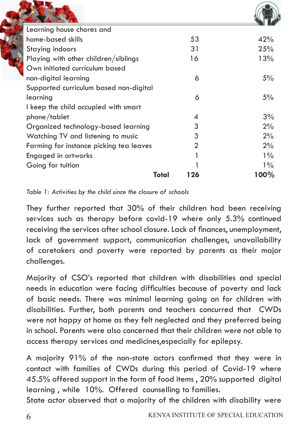| Learning house chores and               |                |         |
|-----------------------------------------|----------------|---------|
| home-based skills                       | 53             | 42%     |
| Staying indoors                         | 31             | 25%     |
| Playing with other children/siblings    | 16             | 13%     |
| Own initiated curriculum based          |                |         |
| non-digital learning                    | 6              | 5%      |
| Supported curriculum based non-digital  |                |         |
| learning                                | 6              | 5%      |
| I keep the child occupied with smart    |                |         |
| phone/tablet                            | 4              | 3%      |
| Organized technology-based learning     | 3              | 2%      |
| Watching TV and listening to music      | 3              | 2%      |
| Farming for instance picking tea leaves | $\mathfrak{D}$ | 2%      |
| Engaged in artworks                     |                | $1\%$   |
| Going for tuition                       |                | $1\%$   |
| Total                                   | 126            | $100\%$ |

*Table 1: Activities by the child since the closure of schools*

They further reported that 30% of their children had been receiving services such as therapy before covid-19 where only 5.3% continued receiving the services after school closure. Lack of finances, unemployment, lack of government support, communication challenges, unavailability of caretakers and poverty were reported by parents as their major challenges.

Majority of CSO's reported that children with disabilities and special needs in education were facing difficulties because of poverty and lack of basic needs. There was minimal learning going on for children with disabilities. Further, both parents and teachers concurred that CWDs were not happy at home as they felt neglected and they preferred being in school. Parents were also concerned that their children were not able to access therapy services and medicines,especially for epilepsy.

A majority 91% of the non-state actors confirmed that they were in contact with families of CWDs during this period of Covid-19 where 45.5% offered support in the form of food items , 20% supported digital learning , while 10%. Offered counselling to families.

State actor observed that a majority of the children with disability were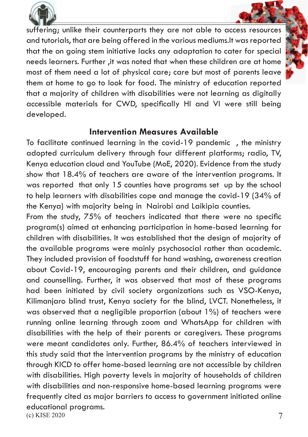

suffering; unlike their counterparts they are not able to access resources and tutorials, that are being offered in the various mediums.It was reported that the on going stem initiative lacks any adaptation to cater for special needs learners. Further ,it was noted that when these children are at home most of them need a lot of physical care; care but most of parents leave them at home to go to look for food. The ministry of education reported that a majority of children with disabilities were not learning as digitally accessible materials for CWD, specifically HI and VI were still being developed.

## **Intervention Measures Available**

To facilitate continued learning in the covid-19 pandemic , the ministry adopted curriculum delivery through four different platforms; radio, TV, Kenya education cloud and YouTube (MoE, 2020). Evidence from the study show that 18.4% of teachers are aware of the intervention programs. It was reported that only 15 counties have programs set up by the school to help learners with disabilities cope and manage the covid-19 (34% of the Kenya) with majority being in Nairobi and Laikipia counties.

(c) KISE 2020 From the study, 75% of teachers indicated that there were no specific program(s) aimed at enhancing participation in home-based learning for children with disabilities. It was established that the design of majority of the available programs were mainly psychosocial rather than academic. They included provision of foodstuff for hand washing, awareness creation about Covid-19, encouraging parents and their children, and guidance and counselling. Further, it was observed that most of these programs had been initiated by civil society organizations such as VSO-Kenya, Kilimanjaro blind trust, Kenya society for the blind, LVCT. Nonetheless, it was observed that a negligible proportion (about 1%) of teachers were running online learning through zoom and WhatsApp for children with disabilities with the help of their parents or caregivers. These programs were meant candidates only. Further, 86.4% of teachers interviewed in this study said that the intervention programs by the ministry of education through KICD to offer home-based learning are not accessible by children with disabilities. High poverty levels in majority of households of children with disabilities and non-responsive home-based learning programs were frequently cited as major barriers to access to government initiated online educational programs.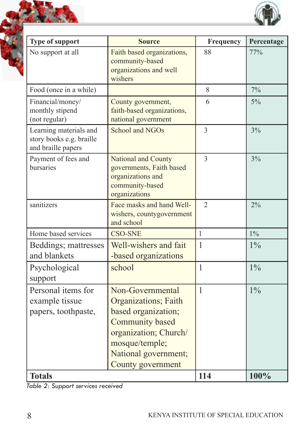| Type of support                                                          | <b>Source</b>                                                                                                                                                              | Frequency      | Percentage |
|--------------------------------------------------------------------------|----------------------------------------------------------------------------------------------------------------------------------------------------------------------------|----------------|------------|
| No support at all                                                        | Faith based organizations,<br>community-based<br>organizations and well<br>wishers                                                                                         | 88             | 77%        |
| Food (once in a while)                                                   |                                                                                                                                                                            | 8              | $7\%$      |
| Financial/money/<br>monthly stipend<br>(not regular)                     | County government,<br>faith-based organizations,<br>national government                                                                                                    | 6              | 5%         |
| Learning materials and<br>story books e.g. braille<br>and braille papers | School and NGOs                                                                                                                                                            | 3              | 3%         |
| Payment of fees and<br>bursaries                                         | National and County<br>governments, Faith based<br>organizations and<br>community-based<br>organizations                                                                   | $\overline{3}$ | 3%         |
| sanitizers                                                               | Face masks and hand Well-<br>wishers, countygovernment<br>and school                                                                                                       | $\mathfrak{D}$ | $2\%$      |
| Home based services                                                      | <b>CSO-SNE</b>                                                                                                                                                             | $\mathbf{1}$   | $1\%$      |
| Beddings; mattresses<br>and blankets                                     | Well-wishers and fait<br>-based organizations                                                                                                                              | $\mathbf{1}$   | $1\%$      |
| Psychological<br>support                                                 | school                                                                                                                                                                     | $\mathbf{1}$   | $1\%$      |
| Personal items for<br>example tissue<br>papers, toothpaste,              | Non-Governmental<br>Organizations; Faith<br>based organization;<br>Community based<br>organization; Church/<br>mosque/temple;<br>National government;<br>County government | $\mathbf{1}$   | $1\%$      |
| <b>Totals</b>                                                            | 114                                                                                                                                                                        | 100%           |            |

*Table 2: Support services received*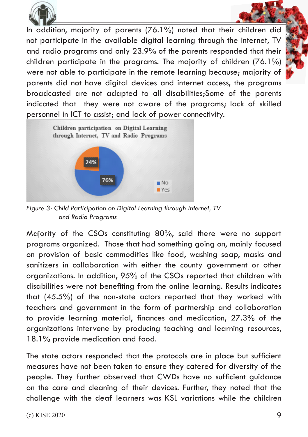

In addition, majority of parents (76.1%) noted that their children did not participate in the available digital learning through the internet, TV and radio programs and only 23.9% of the parents responded that their children participate in the programs. The majority of children (76.1%) were not able to participate in the remote learning because; majority of parents did not have digital devices and internet access, the programs broadcasted are not adapted to all disabilities;Some of the parents indicated that they were not aware of the programs; lack of skilled personnel in ICT to assist; and lack of power connectivity.



*Figure 3: Child Participation on Digital Learning through Internet, TV and Radio Programs*

Majority of the CSOs constituting 80%, said there were no support programs organized. Those that had something going on, mainly focused on provision of basic commodities like food, washing soap, masks and sanitizers in collaboration with either the county government or other organizations. In addition, 95% of the CSOs reported that children with disabilities were not benefiting from the online learning. Results indicates that (45.5%) of the non-state actors reported that they worked with teachers and government in the form of partnership and collaboration to provide learning material, finances and medication, 27.3% of the organizations intervene by producing teaching and learning resources, 18.1% provide medication and food.

The state actors responded that the protocols are in place but sufficient measures have not been taken to ensure they catered for diversity of the people. They further observed that CWDs have no sufficient guidance on the care and cleaning of their devices. Further, they noted that the challenge with the deaf learners was KSL variations while the children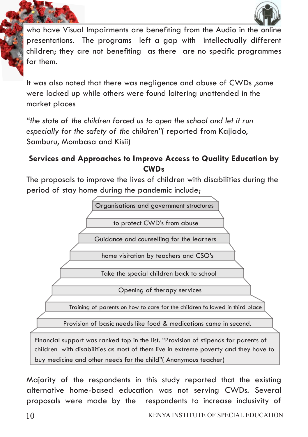

who have Visual Impairments are benefiting from the Audio in the online presentations. The programs left a gap with intellectually different children; they are not benefiting as there are no specific programmes for them.

It was also noted that there was negligence and abuse of CWDs ,some were locked up while others were found loitering unattended in the market places

*"the state of the children forced us to open the school and let it run especially for the safety of the children"*( reported from Kajiado, Samburu, Mombasa and Kisii)

### **Services and Approaches to Improve Access to Quality Education by CWDs**

The proposals to improve the lives of children with disabilities during the period of stay home during the pandemic include;



Majority of the respondents in this study reported that the existing alternative home-based education was not serving CWDs. Several proposals were made by the respondents to increase inclusivity of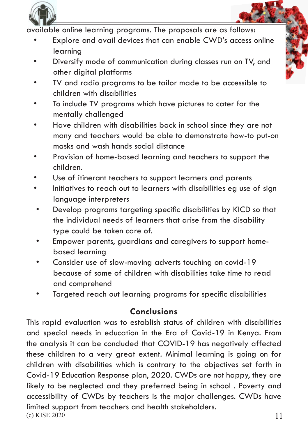

available online learning programs. The proposals are as follows:

- Explore and avail devices that can enable CWD's access online learning
- Diversify mode of communication during classes run on TV, and other digital platforms
- TV and radio programs to be tailor made to be accessible to children with disabilities
- To include TV programs which have pictures to cater for the mentally challenged
- Have children with disabilities back in school since they are not many and teachers would be able to demonstrate how-to put-on masks and wash hands social distance
- Provision of home-based learning and teachers to support the children.
- Use of itinerant teachers to support learners and parents
- Initiatives to reach out to learners with disabilities eg use of sign language interpreters
- Develop programs targeting specific disabilities by KICD so that the individual needs of learners that arise from the disability type could be taken care of.
- Empower parents, guardians and caregivers to support home based learning
- Consider use of slow-moving adverts touching on covid-19 because of some of children with disabilities take time to read and comprehend
- Targeted reach out learning programs for specific disabilities

## **Conclusions**

 $(c)$  KISE 2020 This rapid evaluation was to establish status of children with disabilities and special needs in education in the Era of Covid-19 in Kenya. From the analysis it can be concluded that COVID-19 has negatively affected these children to a very great extent. Minimal learning is going on for children with disabilities which is contrary to the objectives set forth in Covid-19 Education Response plan, 2020. CWDs are not happy, they are likely to be neglected and they preferred being in school . Poverty and accessibility of CWDs by teachers is the major challenges. CWDs have limited support from teachers and health stakeholders. 11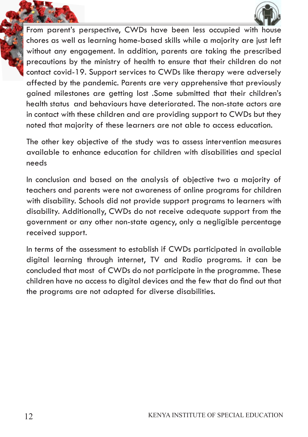

From parent's perspective, CWDs have been less occupied with house chores as well as learning home-based skills while a majority are just left without any engagement. In addition, parents are taking the prescribed precautions by the ministry of health to ensure that their children do not contact covid-19. Support services to CWDs like therapy were adversely affected by the pandemic. Parents are very apprehensive that previously gained milestones are getting lost .Some submitted that their children's health status and behaviours have deteriorated. The non-state actors are in contact with these children and are providing support to CWDs but they noted that majority of these learners are not able to access education.

The other key objective of the study was to assess intervention measures available to enhance education for children with disabilities and special needs

In conclusion and based on the analysis of objective two a majority of teachers and parents were not awareness of online programs for children with disability. Schools did not provide support programs to learners with disability. Additionally, CWDs do not receive adequate support from the government or any other non-state agency, only a negligible percentage received support.

In terms of the assessment to establish if CWDs participated in available digital learning through internet, TV and Radio programs. it can be concluded that most of CWDs do not participate in the programme. These children have no access to digital devices and the few that do find out that the programs are not adapted for diverse disabilities.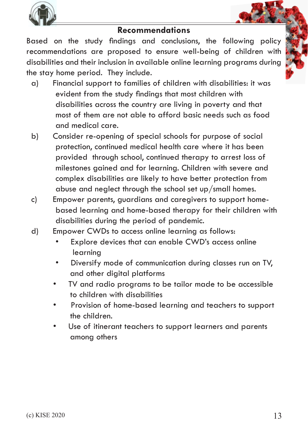

## **Recommendations**

Based on the study findings and conclusions, the following policy recommendations are proposed to ensure well-being of children with disabilities and their inclusion in available online learning programs during the stay home period. They include.

- a) Financial support to families of children with disabilities: it was evident from the study findings that most children with disabilities across the country are living in poverty and that most of them are not able to afford basic needs such as food and medical care.
- b) Consider re-opening of special schools for purpose of social protection, continued medical health care where it has been provided through school, continued therapy to arrest loss of milestones gained and for learning. Children with severe and complex disabilities are likely to have better protection from abuse and neglect through the school set up/small homes.
- c) Empower parents, guardians and caregivers to support home based learning and home-based therapy for their children with disabilities during the period of pandemic.
- d) Empower CWDs to access online learning as follows:
	- Explore devices that can enable CWD's access online learning
	- Diversify mode of communication during classes run on TV, and other digital platforms
	- TV and radio programs to be tailor made to be accessible to children with disabilities
	- Provision of home-based learning and teachers to support the children.
	- Use of itinerant teachers to support learners and parents among others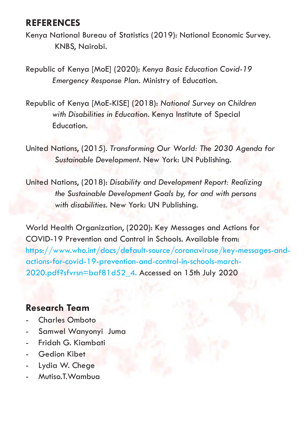## **REFERENCES**

Kenya National Bureau of Statistics (2019): National Economic Survey. KNBS, Nairobi.

Republic of Kenya [MoE] (2020): *Kenya Basic Education Covid-19 Emergency Response Plan.* Ministry of Education.

Republic of Kenya [MoE-KISE] (2018): *National Survey on Children with Disabilities in Education.* Kenya Institute of Special Education.

United Nations, (2015). *Transforming Our World: The 2030 Agenda for Sustainable Development.* New York: UN Publishing.

United Nations, (2018): *Disability and Development Report: Realizing the Sustainable Development Goals by, for and with persons with disabilities.* New York: UN Publishing.

World Health Organization, (2020): Key Messages and Actions for COVID-19 Prevention and Control in Schools. Available from: https://www.who.int/docs/default-source/coronaviruse/key-messages-andactions-for-covid-19-prevention-and-control-in-schools-march-2020.pdf?sfvrsn=baf81d52\_4. Accessed on 15th July 2020

## **Research Team**

- Charles Omboto
- Samwel Wanyonyi Juma
- Fridah G. Kiambati
- Gedion Kibet
- Lydia W. Chege
- Mutiso.T.Wambua